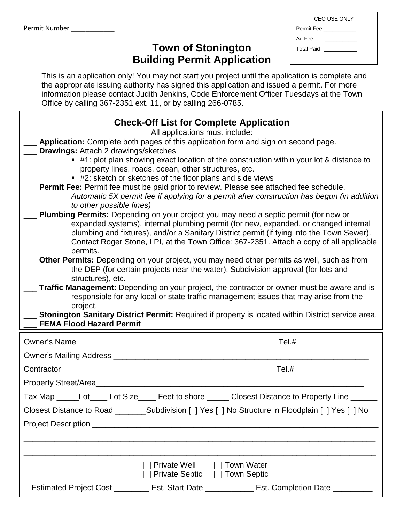| <b>CEO USE ONLY</b> |                                              |  |  |
|---------------------|----------------------------------------------|--|--|
|                     | Permit Fee                                   |  |  |
| Ad Fee              |                                              |  |  |
| <b>Total Paid</b>   | <u> 1989 - Jan Barnett, fransk politiker</u> |  |  |
|                     |                                              |  |  |
|                     |                                              |  |  |

## **Town of Stonington Building Permit Application**

This is an application only! You may not start you project until the application is complete and the appropriate issuing authority has signed this application and issued a permit. For more information please contact Judith Jenkins, Code Enforcement Officer Tuesdays at the Town Office by calling 367-2351 ext. 11, or by calling 266-0785.

| <b>Check-Off List for Complete Application</b>                                                      |  |  |  |  |  |  |
|-----------------------------------------------------------------------------------------------------|--|--|--|--|--|--|
| All applications must include:                                                                      |  |  |  |  |  |  |
| Application: Complete both pages of this application form and sign on second page.                  |  |  |  |  |  |  |
| <b>Drawings: Attach 2 drawings/sketches</b>                                                         |  |  |  |  |  |  |
| $\bullet$ #1: plot plan showing exact location of the construction within your lot & distance to    |  |  |  |  |  |  |
| property lines, roads, ocean, other structures, etc.                                                |  |  |  |  |  |  |
| ■ #2: sketch or sketches of the floor plans and side views                                          |  |  |  |  |  |  |
| <b>Permit Fee:</b> Permit fee must be paid prior to review. Please see attached fee schedule.       |  |  |  |  |  |  |
| Automatic 5X permit fee if applying for a permit after construction has begun (in addition          |  |  |  |  |  |  |
| to other possible fines)                                                                            |  |  |  |  |  |  |
| <b>Plumbing Permits:</b> Depending on your project you may need a septic permit (for new or         |  |  |  |  |  |  |
| expanded systems), internal plumbing permit (for new, expanded, or changed internal                 |  |  |  |  |  |  |
| plumbing and fixtures), and/or a Sanitary District permit (if tying into the Town Sewer).           |  |  |  |  |  |  |
| Contact Roger Stone, LPI, at the Town Office: 367-2351. Attach a copy of all applicable<br>permits. |  |  |  |  |  |  |
| Other Permits: Depending on your project, you may need other permits as well, such as from          |  |  |  |  |  |  |
| the DEP (for certain projects near the water), Subdivision approval (for lots and                   |  |  |  |  |  |  |
| structures), etc.                                                                                   |  |  |  |  |  |  |
| <b>Traffic Management:</b> Depending on your project, the contractor or owner must be aware and is  |  |  |  |  |  |  |
| responsible for any local or state traffic management issues that may arise from the                |  |  |  |  |  |  |
| project.                                                                                            |  |  |  |  |  |  |
| Stonington Sanitary District Permit: Required if property is located within District service area.  |  |  |  |  |  |  |
| <b>FEMA Flood Hazard Permit</b>                                                                     |  |  |  |  |  |  |
| Owner's Name                                                                                        |  |  |  |  |  |  |
|                                                                                                     |  |  |  |  |  |  |
|                                                                                                     |  |  |  |  |  |  |
| Property Street/Area_                                                                               |  |  |  |  |  |  |
| Tax Map ______Lot_____Lot Size_____ Feet to shore ______ Closest Distance to Property Line _        |  |  |  |  |  |  |
| Closest Distance to Road ________Subdivision [ ] Yes [ ] No Structure in Floodplain [ ] Yes [ ] No  |  |  |  |  |  |  |
|                                                                                                     |  |  |  |  |  |  |
|                                                                                                     |  |  |  |  |  |  |
|                                                                                                     |  |  |  |  |  |  |
|                                                                                                     |  |  |  |  |  |  |
| [ ] Private Well [ ] Town Water                                                                     |  |  |  |  |  |  |
| [ ] Private Septic [ ] Town Septic                                                                  |  |  |  |  |  |  |
| Estimated Project Cost _________ Est. Start Date ____________ Est. Completion Date _________        |  |  |  |  |  |  |